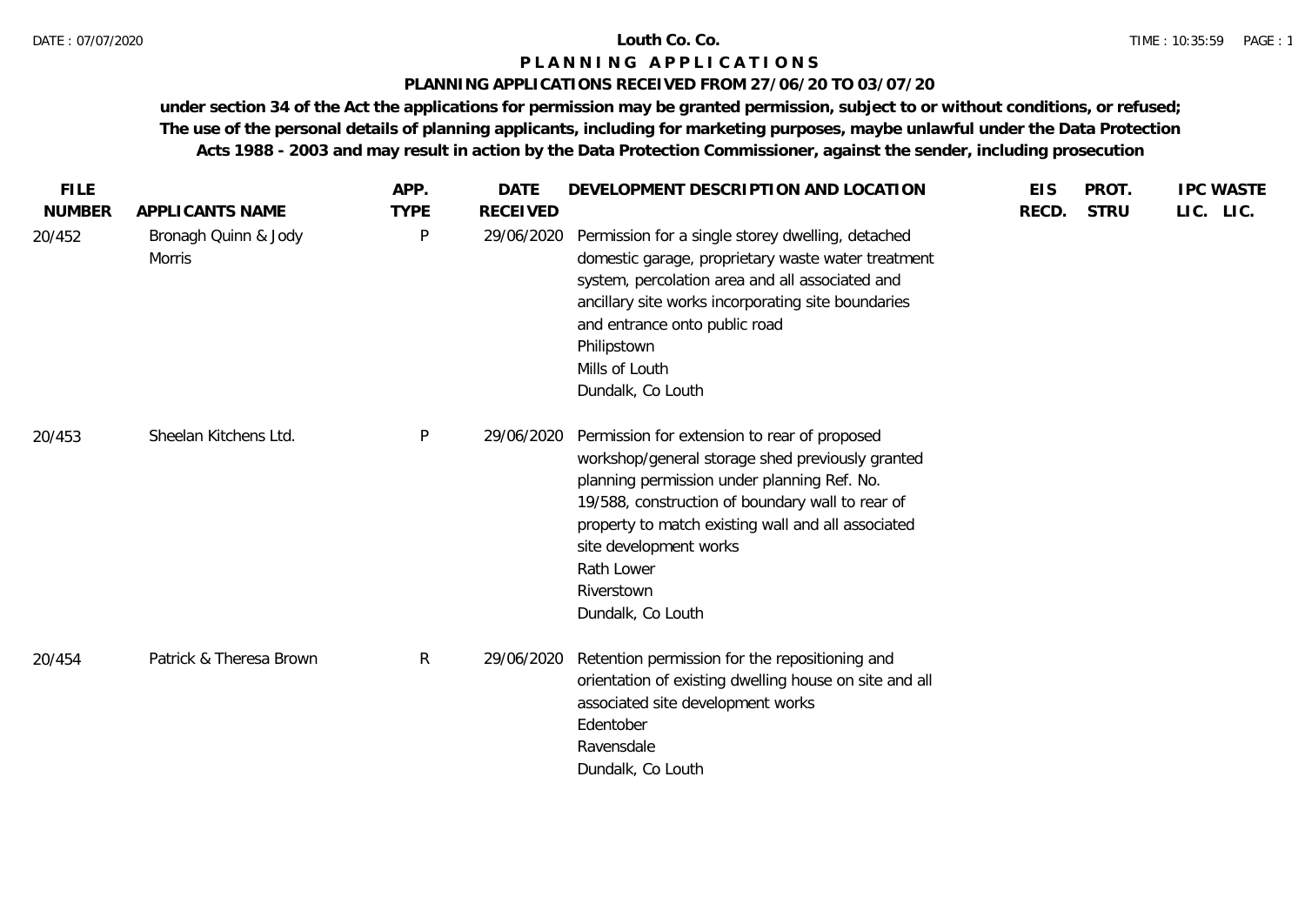#### **PLANNING APPLICATIONS RECEIVED FROM 27/06/20 TO 03/07/20**

| <b>FILE</b>   |                                       | APP.        | <b>DATE</b>     | DEVELOPMENT DESCRIPTION AND LOCATION                                                                                                                                                                                                                                                                                                 | <b>EIS</b> | PROT.       | <b>IPC WASTE</b> |
|---------------|---------------------------------------|-------------|-----------------|--------------------------------------------------------------------------------------------------------------------------------------------------------------------------------------------------------------------------------------------------------------------------------------------------------------------------------------|------------|-------------|------------------|
| <b>NUMBER</b> | APPLICANTS NAME                       | <b>TYPE</b> | <b>RECEIVED</b> |                                                                                                                                                                                                                                                                                                                                      | RECD.      | <b>STRU</b> | LIC. LIC.        |
| 20/452        | Bronagh Quinn & Jody<br><b>Morris</b> | P           | 29/06/2020      | Permission for a single storey dwelling, detached<br>domestic garage, proprietary waste water treatment<br>system, percolation area and all associated and<br>ancillary site works incorporating site boundaries<br>and entrance onto public road<br>Philipstown<br>Mills of Louth<br>Dundalk, Co Louth                              |            |             |                  |
| 20/453        | Sheelan Kitchens Ltd.                 | P           | 29/06/2020      | Permission for extension to rear of proposed<br>workshop/general storage shed previously granted<br>planning permission under planning Ref. No.<br>19/588, construction of boundary wall to rear of<br>property to match existing wall and all associated<br>site development works<br>Rath Lower<br>Riverstown<br>Dundalk, Co Louth |            |             |                  |
| 20/454        | Patrick & Theresa Brown               | R           | 29/06/2020      | Retention permission for the repositioning and<br>orientation of existing dwelling house on site and all<br>associated site development works<br>Edentober<br>Ravensdale<br>Dundalk, Co Louth                                                                                                                                        |            |             |                  |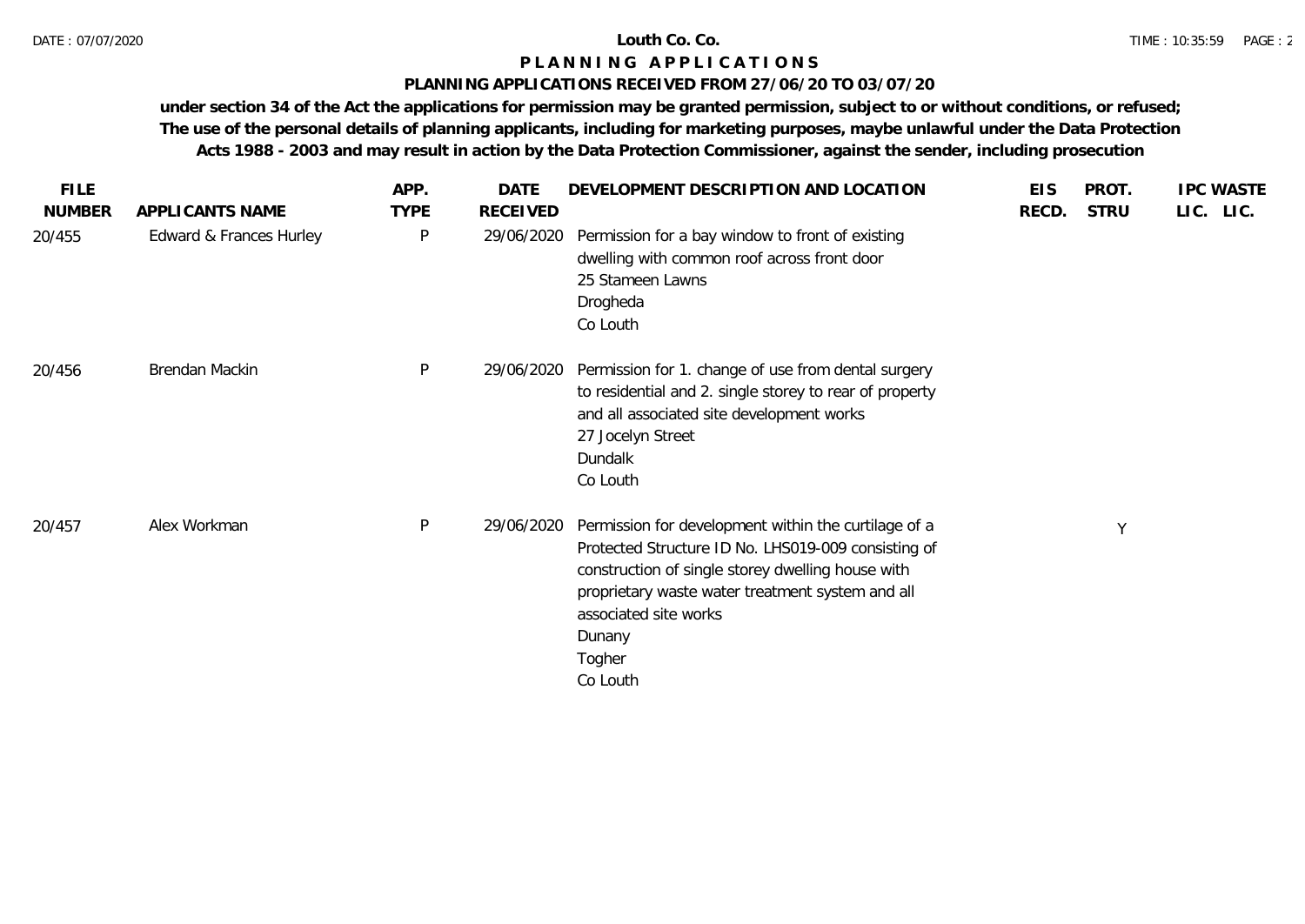### **PLANNING APPLICATIONS RECEIVED FROM 27/06/20 TO 03/07/20**

| <b>FILE</b>   |                         | APP.         | <b>DATE</b>     | DEVELOPMENT DESCRIPTION AND LOCATION                                                                                                                                                                                                                                          | <b>EIS</b> | PROT.       | <b>IPC WASTE</b> |
|---------------|-------------------------|--------------|-----------------|-------------------------------------------------------------------------------------------------------------------------------------------------------------------------------------------------------------------------------------------------------------------------------|------------|-------------|------------------|
| <b>NUMBER</b> | APPLICANTS NAME         | <b>TYPE</b>  | <b>RECEIVED</b> |                                                                                                                                                                                                                                                                               | RECD.      | <b>STRU</b> | LIC. LIC.        |
| 20/455        | Edward & Frances Hurley | P            | 29/06/2020      | Permission for a bay window to front of existing<br>dwelling with common roof across front door<br>25 Stameen Lawns<br>Drogheda<br>Co Louth                                                                                                                                   |            |             |                  |
| 20/456        | Brendan Mackin          | $\mathsf{P}$ | 29/06/2020      | Permission for 1. change of use from dental surgery<br>to residential and 2. single storey to rear of property<br>and all associated site development works<br>27 Jocelyn Street<br>Dundalk<br>Co Louth                                                                       |            |             |                  |
| 20/457        | Alex Workman            | P            | 29/06/2020      | Permission for development within the curtilage of a<br>Protected Structure ID No. LHS019-009 consisting of<br>construction of single storey dwelling house with<br>proprietary waste water treatment system and all<br>associated site works<br>Dunany<br>Togher<br>Co Louth |            | Y           |                  |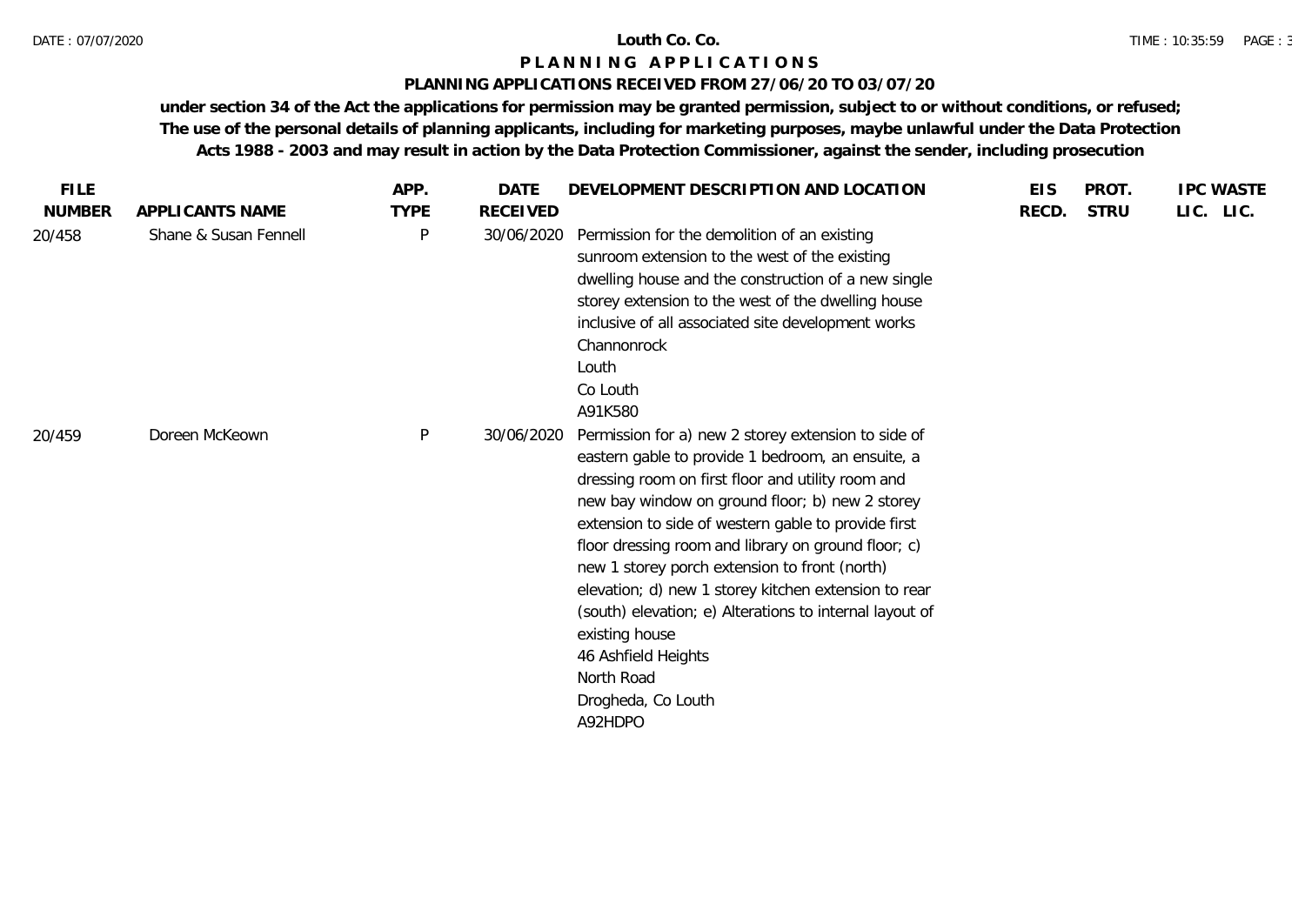## **PLANNING APPLICATIONS RECEIVED FROM 27/06/20 TO 03/07/20**

| <b>FILE</b>   |                       | APP.        | <b>DATE</b>     | DEVELOPMENT DESCRIPTION AND LOCATION                                                                                                                                                                                                                                                                                                                                                                                                                                                                                                                                                       | <b>EIS</b> | PROT.       | <b>IPC WASTE</b> |
|---------------|-----------------------|-------------|-----------------|--------------------------------------------------------------------------------------------------------------------------------------------------------------------------------------------------------------------------------------------------------------------------------------------------------------------------------------------------------------------------------------------------------------------------------------------------------------------------------------------------------------------------------------------------------------------------------------------|------------|-------------|------------------|
| <b>NUMBER</b> | APPLICANTS NAME       | <b>TYPE</b> | <b>RECEIVED</b> |                                                                                                                                                                                                                                                                                                                                                                                                                                                                                                                                                                                            | RECD.      | <b>STRU</b> | LIC. LIC.        |
| 20/458        | Shane & Susan Fennell | P           | 30/06/2020      | Permission for the demolition of an existing<br>sunroom extension to the west of the existing<br>dwelling house and the construction of a new single<br>storey extension to the west of the dwelling house<br>inclusive of all associated site development works<br>Channonrock<br>Louth<br>Co Louth<br>A91K580                                                                                                                                                                                                                                                                            |            |             |                  |
| 20/459        | Doreen McKeown        | P           | 30/06/2020      | Permission for a) new 2 storey extension to side of<br>eastern gable to provide 1 bedroom, an ensuite, a<br>dressing room on first floor and utility room and<br>new bay window on ground floor; b) new 2 storey<br>extension to side of western gable to provide first<br>floor dressing room and library on ground floor; c)<br>new 1 storey porch extension to front (north)<br>elevation; d) new 1 storey kitchen extension to rear<br>(south) elevation; e) Alterations to internal layout of<br>existing house<br>46 Ashfield Heights<br>North Road<br>Drogheda, Co Louth<br>A92HDPO |            |             |                  |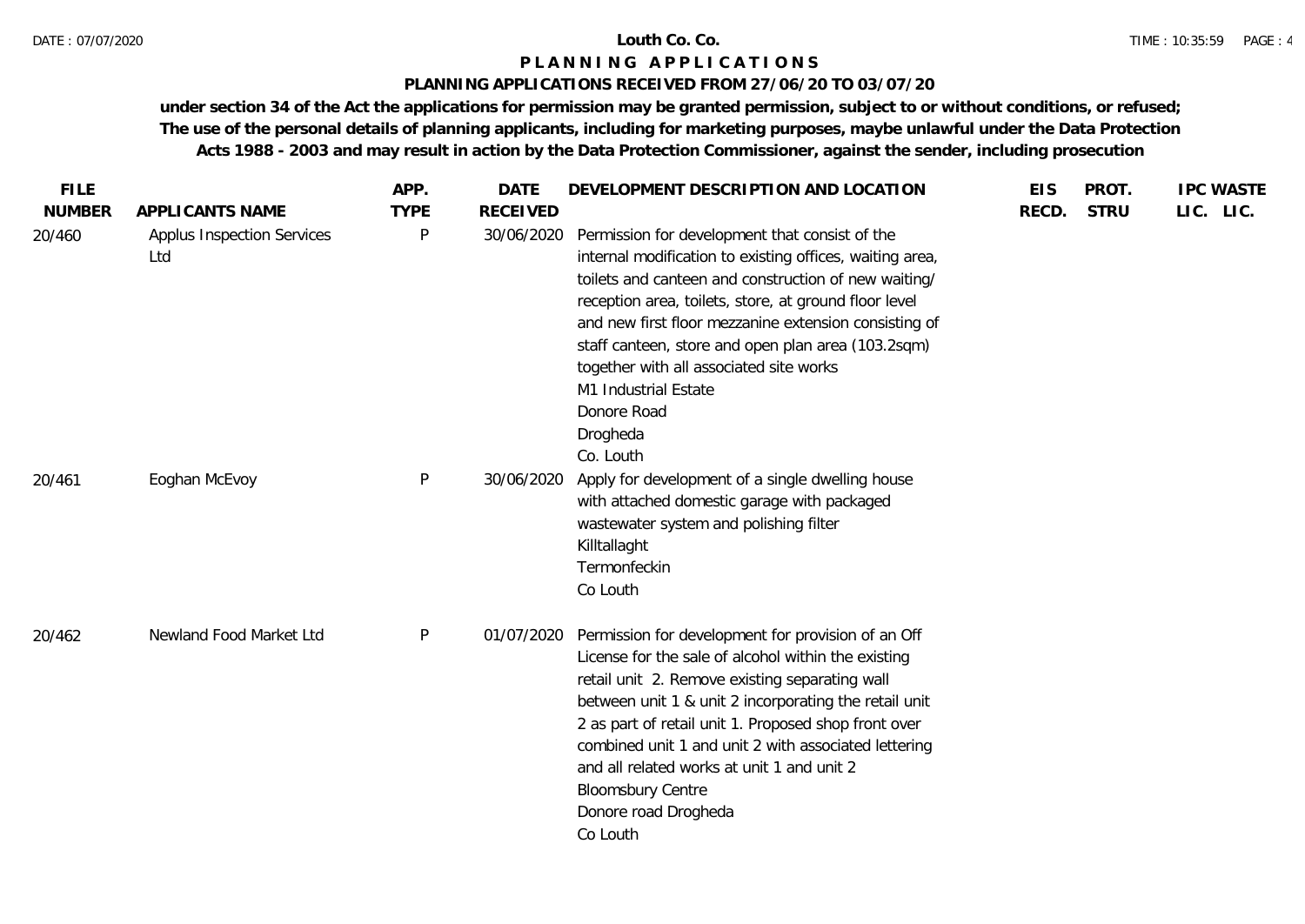## **PLANNING APPLICATIONS RECEIVED FROM 27/06/20 TO 03/07/20**

| <b>FILE</b>   |                                   | APP.        | <b>DATE</b>     | DEVELOPMENT DESCRIPTION AND LOCATION                                                                                                                                                                                                                                                                                                                                                                                                                  | <b>EIS</b> | PROT.       | <b>IPC WASTE</b> |
|---------------|-----------------------------------|-------------|-----------------|-------------------------------------------------------------------------------------------------------------------------------------------------------------------------------------------------------------------------------------------------------------------------------------------------------------------------------------------------------------------------------------------------------------------------------------------------------|------------|-------------|------------------|
| <b>NUMBER</b> | APPLICANTS NAME                   | <b>TYPE</b> | <b>RECEIVED</b> |                                                                                                                                                                                                                                                                                                                                                                                                                                                       | RECD.      | <b>STRU</b> | LIC. LIC.        |
| 20/460        | Applus Inspection Services<br>Ltd | P           | 30/06/2020      | Permission for development that consist of the<br>internal modification to existing offices, waiting area,<br>toilets and canteen and construction of new waiting/<br>reception area, toilets, store, at ground floor level<br>and new first floor mezzanine extension consisting of<br>staff canteen, store and open plan area (103.2sqm)<br>together with all associated site works<br>M1 Industrial Estate<br>Donore Road<br>Drogheda<br>Co. Louth |            |             |                  |
| 20/461        | Eoghan McEvoy                     | P           | 30/06/2020      | Apply for development of a single dwelling house<br>with attached domestic garage with packaged<br>wastewater system and polishing filter<br>Killtallaght<br>Termonfeckin<br>Co Louth                                                                                                                                                                                                                                                                 |            |             |                  |
| 20/462        | Newland Food Market Ltd           | P           | 01/07/2020      | Permission for development for provision of an Off<br>License for the sale of alcohol within the existing<br>retail unit 2. Remove existing separating wall<br>between unit 1 & unit 2 incorporating the retail unit<br>2 as part of retail unit 1. Proposed shop front over<br>combined unit 1 and unit 2 with associated lettering<br>and all related works at unit 1 and unit 2<br><b>Bloomsbury Centre</b><br>Donore road Drogheda<br>Co Louth    |            |             |                  |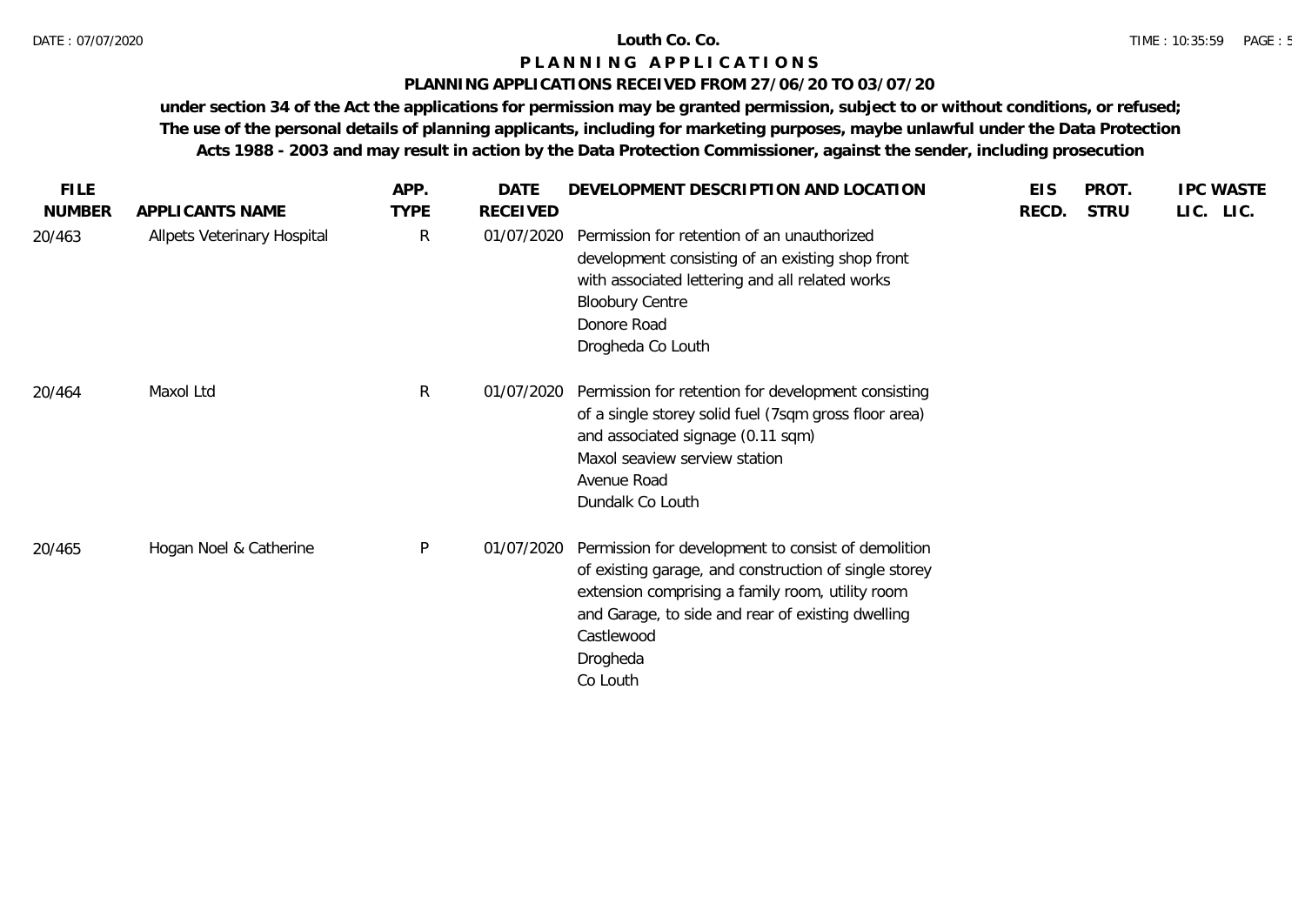### **PLANNING APPLICATIONS RECEIVED FROM 27/06/20 TO 03/07/20**

| <b>FILE</b>   |                             | APP.         | DATE            | DEVELOPMENT DESCRIPTION AND LOCATION                                                                                                                                                                                                                        | <b>EIS</b> | PROT.       | <b>IPC WASTE</b> |
|---------------|-----------------------------|--------------|-----------------|-------------------------------------------------------------------------------------------------------------------------------------------------------------------------------------------------------------------------------------------------------------|------------|-------------|------------------|
| <b>NUMBER</b> | APPLICANTS NAME             | <b>TYPE</b>  | <b>RECEIVED</b> |                                                                                                                                                                                                                                                             | RECD.      | <b>STRU</b> | LIC. LIC.        |
| 20/463        | Allpets Veterinary Hospital | $\mathsf{R}$ | 01/07/2020      | Permission for retention of an unauthorized<br>development consisting of an existing shop front<br>with associated lettering and all related works<br><b>Bloobury Centre</b><br>Donore Road<br>Drogheda Co Louth                                            |            |             |                  |
| 20/464        | Maxol Ltd                   | $\mathsf{R}$ | 01/07/2020      | Permission for retention for development consisting<br>of a single storey solid fuel (7sqm gross floor area)<br>and associated signage (0.11 sqm)<br>Maxol seaview serview station<br>Avenue Road<br>Dundalk Co Louth                                       |            |             |                  |
| 20/465        | Hogan Noel & Catherine      | $\mathsf{P}$ | 01/07/2020      | Permission for development to consist of demolition<br>of existing garage, and construction of single storey<br>extension comprising a family room, utility room<br>and Garage, to side and rear of existing dwelling<br>Castlewood<br>Drogheda<br>Co Louth |            |             |                  |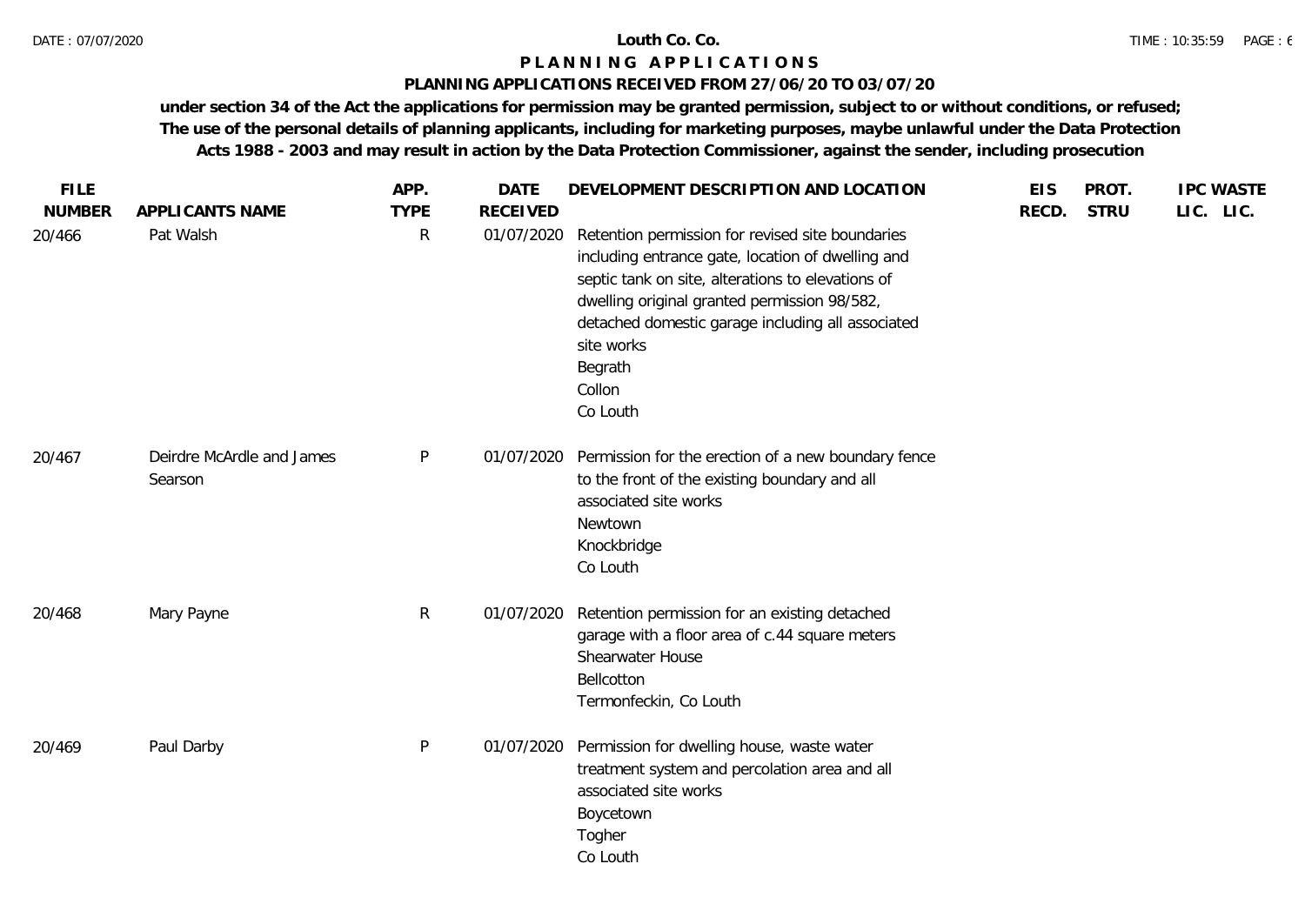## **PLANNING APPLICATIONS RECEIVED FROM 27/06/20 TO 03/07/20**

| <b>FILE</b><br><b>NUMBER</b> | APPLICANTS NAME                      | APP.<br><b>TYPE</b> | <b>DATE</b><br><b>RECEIVED</b> | DEVELOPMENT DESCRIPTION AND LOCATION                                                                                                                                                                                                                                                                           | <b>EIS</b><br>RECD. | PROT.<br><b>STRU</b> | <b>IPC WASTE</b><br>LIC. LIC. |
|------------------------------|--------------------------------------|---------------------|--------------------------------|----------------------------------------------------------------------------------------------------------------------------------------------------------------------------------------------------------------------------------------------------------------------------------------------------------------|---------------------|----------------------|-------------------------------|
| 20/466                       | Pat Walsh                            | R                   | 01/07/2020                     | Retention permission for revised site boundaries<br>including entrance gate, location of dwelling and<br>septic tank on site, alterations to elevations of<br>dwelling original granted permission 98/582,<br>detached domestic garage including all associated<br>site works<br>Begrath<br>Collon<br>Co Louth |                     |                      |                               |
| 20/467                       | Deirdre McArdle and James<br>Searson | P                   | 01/07/2020                     | Permission for the erection of a new boundary fence<br>to the front of the existing boundary and all<br>associated site works<br>Newtown<br>Knockbridge<br>Co Louth                                                                                                                                            |                     |                      |                               |
| 20/468                       | Mary Payne                           | $\mathsf{R}$        | 01/07/2020                     | Retention permission for an existing detached<br>garage with a floor area of c.44 square meters<br>Shearwater House<br>Bellcotton<br>Termonfeckin, Co Louth                                                                                                                                                    |                     |                      |                               |
| 20/469                       | Paul Darby                           | P                   | 01/07/2020                     | Permission for dwelling house, waste water<br>treatment system and percolation area and all<br>associated site works<br>Boycetown<br>Togher<br>Co Louth                                                                                                                                                        |                     |                      |                               |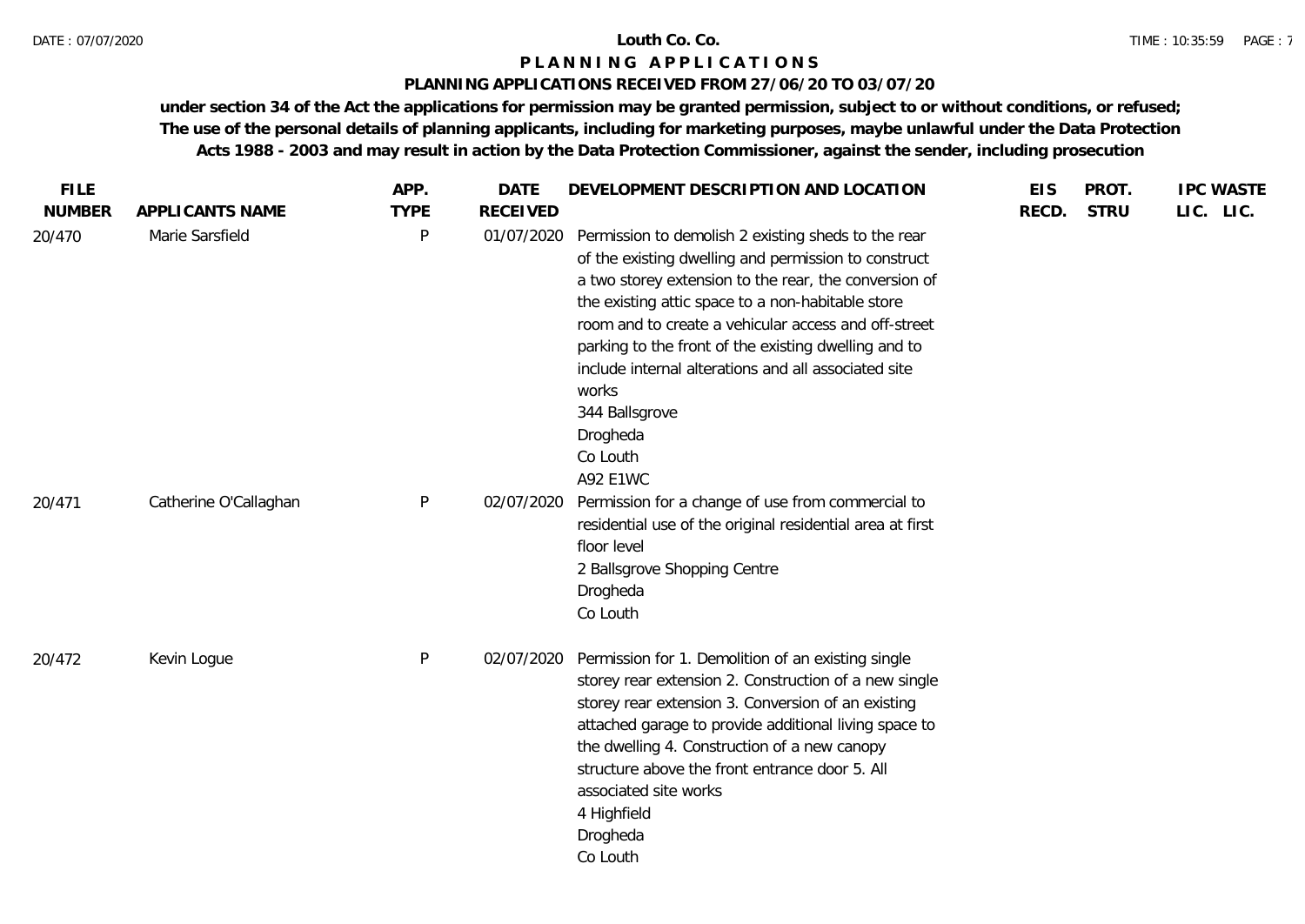## **PLANNING APPLICATIONS RECEIVED FROM 27/06/20 TO 03/07/20**

| <b>FILE</b>   |                       | APP.        | <b>DATE</b>     | DEVELOPMENT DESCRIPTION AND LOCATION                                                                                                                                                                                                                                                                                                                                                                                                                                    | <b>EIS</b> | PROT.       | <b>IPC WASTE</b> |
|---------------|-----------------------|-------------|-----------------|-------------------------------------------------------------------------------------------------------------------------------------------------------------------------------------------------------------------------------------------------------------------------------------------------------------------------------------------------------------------------------------------------------------------------------------------------------------------------|------------|-------------|------------------|
| <b>NUMBER</b> | APPLICANTS NAME       | <b>TYPE</b> | <b>RECEIVED</b> |                                                                                                                                                                                                                                                                                                                                                                                                                                                                         | RECD.      | <b>STRU</b> | LIC. LIC.        |
| 20/470        | Marie Sarsfield       | P           | 01/07/2020      | Permission to demolish 2 existing sheds to the rear<br>of the existing dwelling and permission to construct<br>a two storey extension to the rear, the conversion of<br>the existing attic space to a non-habitable store<br>room and to create a vehicular access and off-street<br>parking to the front of the existing dwelling and to<br>include internal alterations and all associated site<br>works<br>344 Ballsgrove<br>Drogheda<br>Co Louth<br><b>A92 E1WC</b> |            |             |                  |
| 20/471        | Catherine O'Callaghan | P           | 02/07/2020      | Permission for a change of use from commercial to<br>residential use of the original residential area at first<br>floor level<br>2 Ballsgrove Shopping Centre<br>Drogheda<br>Co Louth                                                                                                                                                                                                                                                                                   |            |             |                  |
| 20/472        | Kevin Logue           | P           | 02/07/2020      | Permission for 1. Demolition of an existing single<br>storey rear extension 2. Construction of a new single<br>storey rear extension 3. Conversion of an existing<br>attached garage to provide additional living space to<br>the dwelling 4. Construction of a new canopy<br>structure above the front entrance door 5. All<br>associated site works<br>4 Highfield<br>Drogheda<br>Co Louth                                                                            |            |             |                  |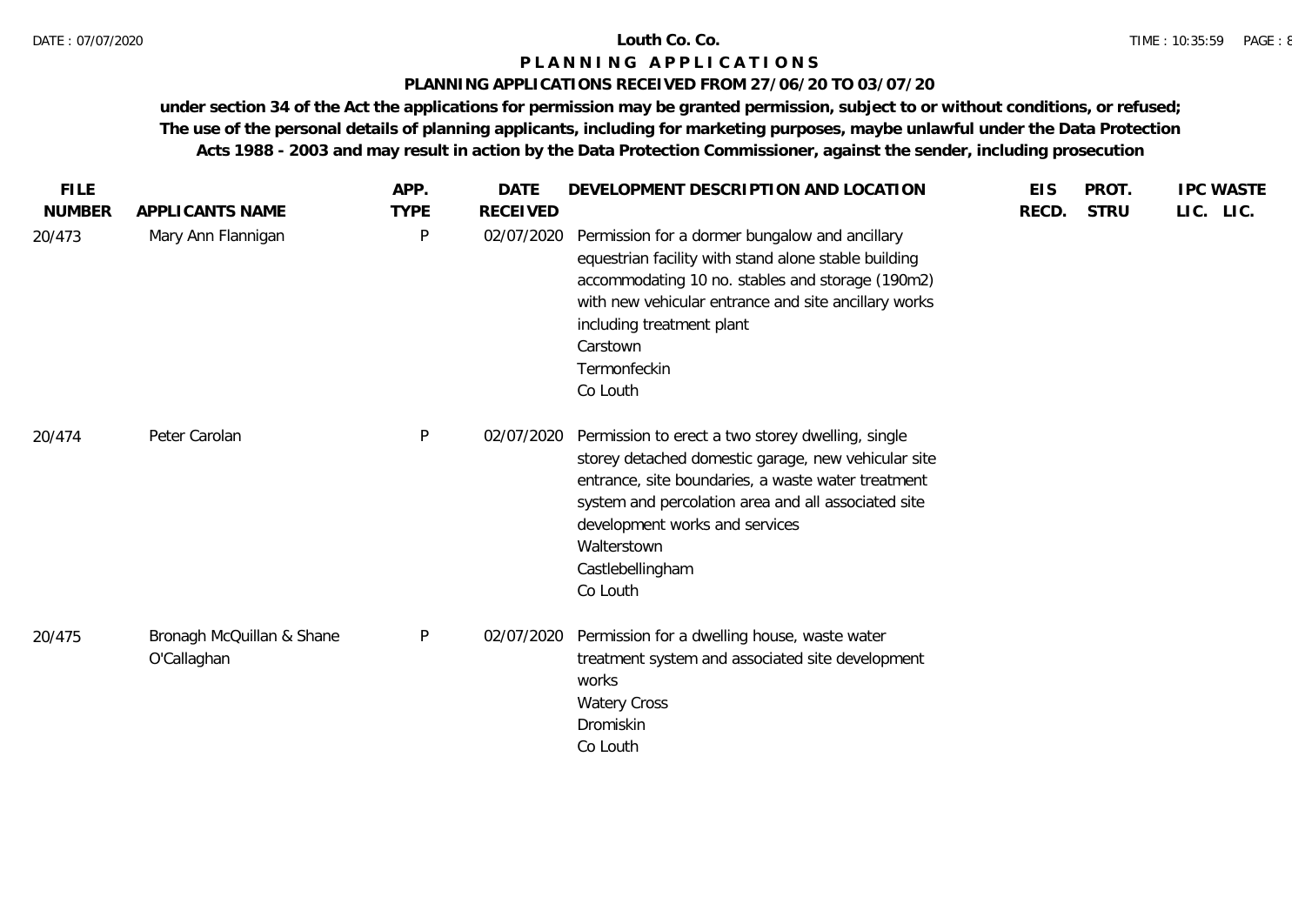### **PLANNING APPLICATIONS RECEIVED FROM 27/06/20 TO 03/07/20**

| <b>FILE</b>   |                                          | APP.         | <b>DATE</b>     | DEVELOPMENT DESCRIPTION AND LOCATION                                                                                                                                                                                                                                                                   | <b>EIS</b> | PROT.       | <b>IPC WASTE</b> |
|---------------|------------------------------------------|--------------|-----------------|--------------------------------------------------------------------------------------------------------------------------------------------------------------------------------------------------------------------------------------------------------------------------------------------------------|------------|-------------|------------------|
| <b>NUMBER</b> | APPLICANTS NAME                          | <b>TYPE</b>  | <b>RECEIVED</b> |                                                                                                                                                                                                                                                                                                        | RECD.      | <b>STRU</b> | LIC. LIC.        |
| 20/473        | Mary Ann Flannigan                       | P            | 02/07/2020      | Permission for a dormer bungalow and ancillary<br>equestrian facility with stand alone stable building<br>accommodating 10 no. stables and storage (190m2)<br>with new vehicular entrance and site ancillary works<br>including treatment plant<br>Carstown<br>Termonfeckin<br>Co Louth                |            |             |                  |
| 20/474        | Peter Carolan                            | P            | 02/07/2020      | Permission to erect a two storey dwelling, single<br>storey detached domestic garage, new vehicular site<br>entrance, site boundaries, a waste water treatment<br>system and percolation area and all associated site<br>development works and services<br>Walterstown<br>Castlebellingham<br>Co Louth |            |             |                  |
| 20/475        | Bronagh McQuillan & Shane<br>O'Callaghan | $\mathsf{P}$ | 02/07/2020      | Permission for a dwelling house, waste water<br>treatment system and associated site development<br>works<br><b>Watery Cross</b><br>Dromiskin<br>Co Louth                                                                                                                                              |            |             |                  |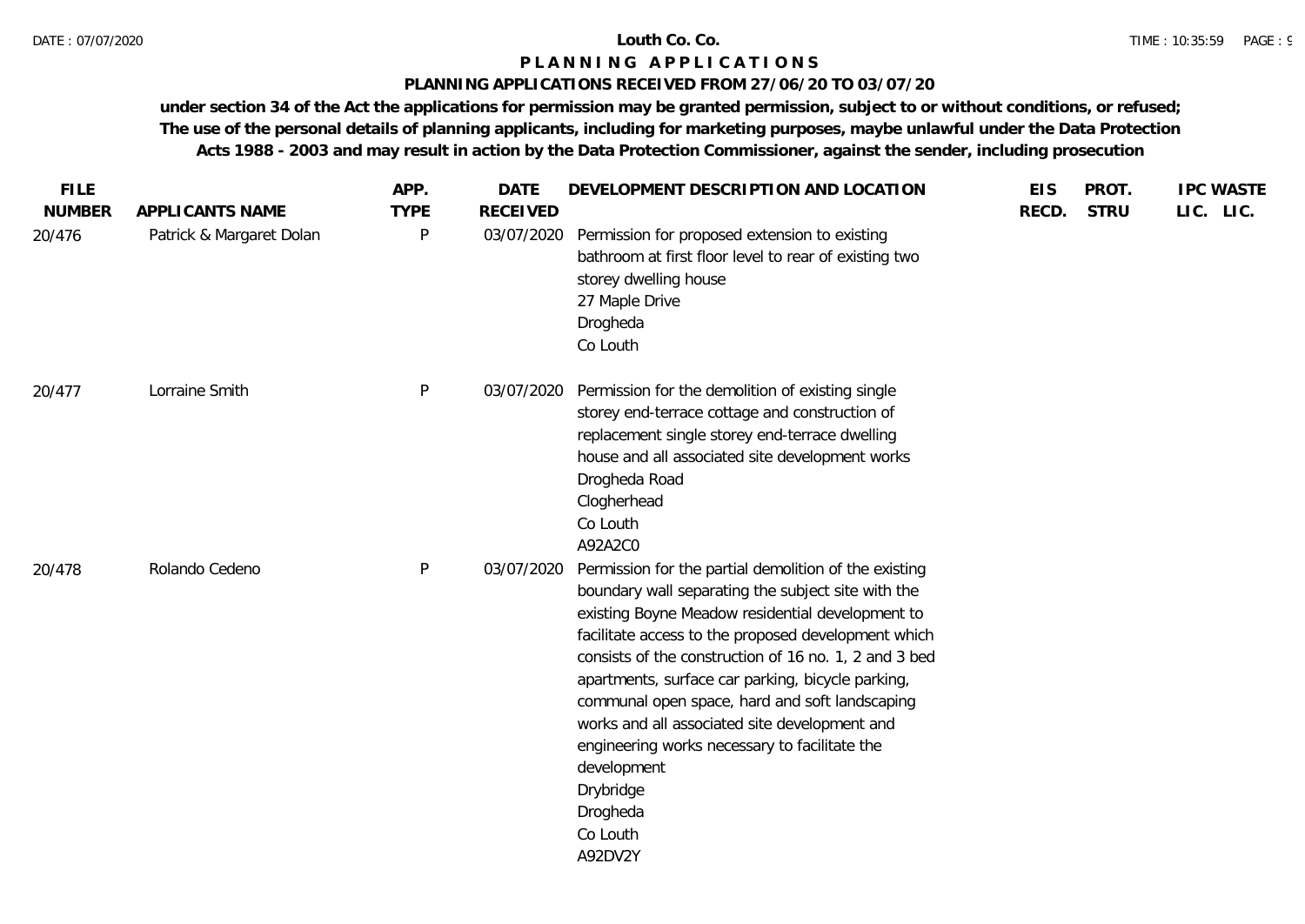## **PLANNING APPLICATIONS RECEIVED FROM 27/06/20 TO 03/07/20**

| <b>FILE</b>   |                          | APP.         | <b>DATE</b>     | DEVELOPMENT DESCRIPTION AND LOCATION                                                                                                                                                                                                                                                                                                                                                                                                                                                                                                                    | <b>EIS</b> | PROT.       | <b>IPC WASTE</b> |
|---------------|--------------------------|--------------|-----------------|---------------------------------------------------------------------------------------------------------------------------------------------------------------------------------------------------------------------------------------------------------------------------------------------------------------------------------------------------------------------------------------------------------------------------------------------------------------------------------------------------------------------------------------------------------|------------|-------------|------------------|
| <b>NUMBER</b> | APPLICANTS NAME          | <b>TYPE</b>  | <b>RECEIVED</b> |                                                                                                                                                                                                                                                                                                                                                                                                                                                                                                                                                         | RECD.      | <b>STRU</b> | LIC. LIC.        |
| 20/476        | Patrick & Margaret Dolan | P            | 03/07/2020      | Permission for proposed extension to existing<br>bathroom at first floor level to rear of existing two<br>storey dwelling house<br>27 Maple Drive<br>Drogheda<br>Co Louth                                                                                                                                                                                                                                                                                                                                                                               |            |             |                  |
| 20/477        | Lorraine Smith           | $\mathsf{P}$ | 03/07/2020      | Permission for the demolition of existing single<br>storey end-terrace cottage and construction of<br>replacement single storey end-terrace dwelling<br>house and all associated site development works<br>Drogheda Road<br>Clogherhead<br>Co Louth<br>A92A2C0                                                                                                                                                                                                                                                                                          |            |             |                  |
| 20/478        | Rolando Cedeno           | $\mathsf{P}$ | 03/07/2020      | Permission for the partial demolition of the existing<br>boundary wall separating the subject site with the<br>existing Boyne Meadow residential development to<br>facilitate access to the proposed development which<br>consists of the construction of 16 no. 1, 2 and 3 bed<br>apartments, surface car parking, bicycle parking,<br>communal open space, hard and soft landscaping<br>works and all associated site development and<br>engineering works necessary to facilitate the<br>development<br>Drybridge<br>Drogheda<br>Co Louth<br>A92DV2Y |            |             |                  |